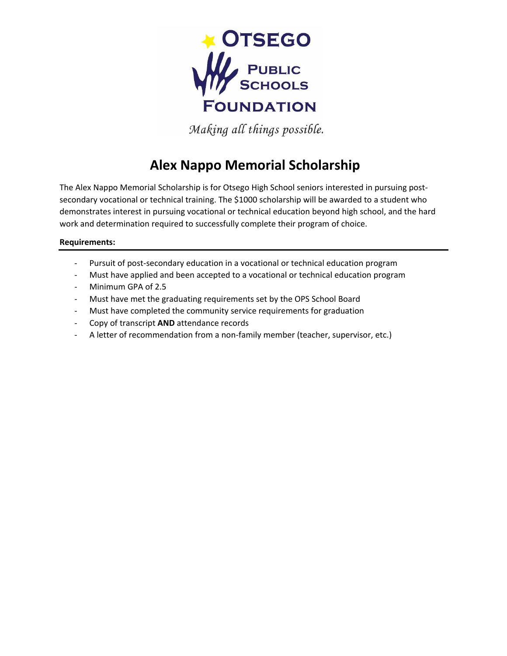

Making all things possible.

## **Alex Nappo Memorial Scholarship**

The Alex Nappo Memorial Scholarship is for Otsego High School seniors interested in pursuing postsecondary vocational or technical training. The \$1000 scholarship will be awarded to a student who demonstrates interest in pursuing vocational or technical education beyond high school, and the hard work and determination required to successfully complete their program of choice.

## **Requirements:**

- Pursuit of post-secondary education in a vocational or technical education program
- Must have applied and been accepted to a vocational or technical education program
- Minimum GPA of 2.5
- Must have met the graduating requirements set by the OPS School Board
- Must have completed the community service requirements for graduation
- Copy of transcript **AND** attendance records
- A letter of recommendation from a non-family member (teacher, supervisor, etc.)